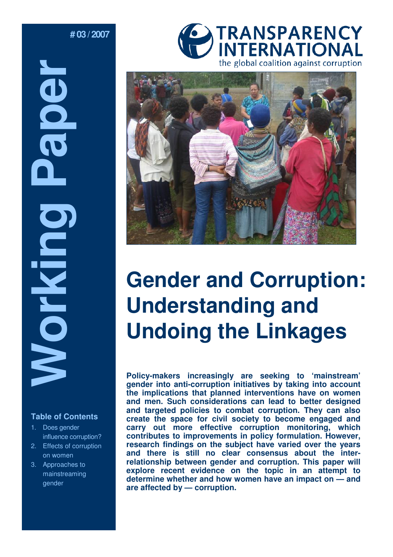**# 03 / 2007** 

Table of Conte Trable of Conte Trable of Conte Trable of Conte Trable of Conte Transmal Paper and Conte Transmal Paper and Paper and Paper and Paper and Paper and Paper and Paper and Paper and Paper and Paper and Paper and **DOG Norking** 

## **Table of Contents**

- 1. Does gender influence corruption?
- 2. Effects of corruption on women
- 3. Approaches to mainstreaming gender





# **Gender and Corruption: Understanding and Undoing the Linkages**

**Policy-makers increasingly are seeking to 'mainstream' gender into anti-corruption initiatives by taking into account the implications that planned interventions have on women and men. Such considerations can lead to better designed and targeted policies to combat corruption. They can also create the space for civil society to become engaged and carry out more effective corruption monitoring, which contributes to improvements in policy formulation. However, research findings on the subject have varied over the years and there is still no clear consensus about the interrelationship between gender and corruption. This paper will explore recent evidence on the topic in an attempt to determine whether and how women have an impact on — and are affected by — corruption.**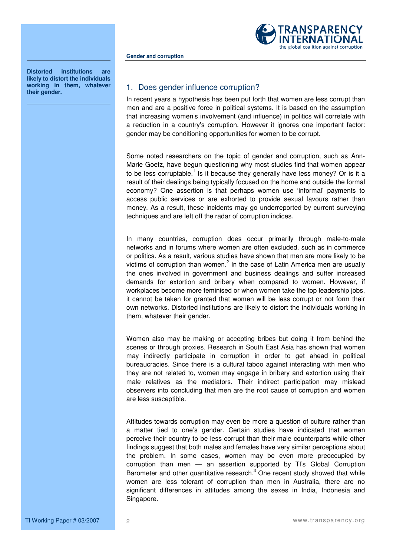

**Gender and corruption** 

**Distorted institutions are likely to distort the individuals working in them, whatever their gender.** 

## 1. Does gender influence corruption?

In recent years a hypothesis has been put forth that women are less corrupt than men and are a positive force in political systems. It is based on the assumption that increasing women's involvement (and influence) in politics will correlate with a reduction in a country's corruption. However it ignores one important factor: gender may be conditioning opportunities for women to be corrupt.

Some noted researchers on the topic of gender and corruption, such as Ann-Marie Goetz, have begun questioning why most studies find that women appear to be less corruptable.<sup>1</sup> Is it because they generally have less money? Or is it a result of their dealings being typically focused on the home and outside the formal economy? One assertion is that perhaps women use 'informal' payments to access public services or are exhorted to provide sexual favours rather than money. As a result, these incidents may go underreported by current surveying techniques and are left off the radar of corruption indices.

In many countries, corruption does occur primarily through male-to-male networks and in forums where women are often excluded, such as in commerce or politics. As a result, various studies have shown that men are more likely to be victims of corruption than women.<sup>2</sup> In the case of Latin America men are usually the ones involved in government and business dealings and suffer increased demands for extortion and bribery when compared to women. However, if workplaces become more feminised or when women take the top leadership jobs, it cannot be taken for granted that women will be less corrupt or not form their own networks. Distorted institutions are likely to distort the individuals working in them, whatever their gender.

Women also may be making or accepting bribes but doing it from behind the scenes or through proxies. Research in South East Asia has shown that women may indirectly participate in corruption in order to get ahead in political bureaucracies. Since there is a cultural taboo against interacting with men who they are not related to, women may engage in bribery and extortion using their male relatives as the mediators. Their indirect participation may mislead observers into concluding that men are the root cause of corruption and women are less susceptible.

Attitudes towards corruption may even be more a question of culture rather than a matter tied to one's gender. Certain studies have indicated that women perceive their country to be less corrupt than their male counterparts while other findings suggest that both males and females have very similar perceptions about the problem. In some cases, women may be even more preoccupied by corruption than men — an assertion supported by Tl's Global Corruption Barometer and other quantitative research.<sup>3</sup> One recent study showed that while women are less tolerant of corruption than men in Australia, there are no significant differences in attitudes among the sexes in India, Indonesia and Singapore.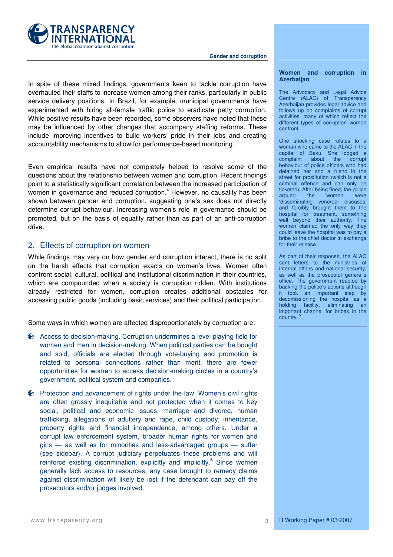

#### **Gender and corruption**

In spite of these mixed findings, governments keen to tackle corruption have overhauled their staffs to increase women among their ranks, particularly in public service delivery positions. In Brazil, for example, municipal governments have experimented with hiring all-female traffic police to eradicate petty corruption. While positive results have been recorded, some observers have noted that these may be influenced by other changes that accompany staffing reforms. These include improving incentives to build workers' pride in their jobs and creating accountability mechanisms to allow for performance-based monitoring.

Even empirical results have not completely helped to resolve some of the questions about the relationship between women and corruption. Recent findings point to a statistically significant correlation between the increased participation of women in governance and reduced corruption. $4$  However, no causality has been shown between gender and corruption, suggesting one's sex does not directly determine corrupt behaviour. Increasing women's role in governance should be promoted, but on the basis of equality rather than as part of an anti-corruption drive.

## 2. Effects of corruption on women

While findings may vary on how gender and corruption interact, there is no split on the harsh effects that corruption exacts on women's lives. Women often confront social, cultural, political and institutional discrimination in their countries, which are compounded when a society is corruption ridden. With institutions already restricted for women, corruption creates additional obstacles for accessing public goods (including basic services) and their political participation.

Some ways in which women are affected disproportionately by corruption are:

- Access to decision-making. Corruption undermines a level playing field for women and men in decision-making. When political parties can be bought and sold, officials are elected through vote-buying and promotion is related to personal connections rather than merit, there are fewer opportunities for women to access decision-making circles in a country's government, political system and companies.
- Protection and advancement of rights under the law. Women's civil rights are often grossly inequitable and not protected when it comes to key social, political and economic issues: marriage and divorce, human trafficking, allegations of adultery and rape, child custody, inheritance, property rights and financial independence, among others. Under a corrupt law enforcement system, broader human rights for women and girls — as well as for minorities and less-advantaged groups — suffer (see sidebar). A corrupt judiciary perpetuates these problems and will reinforce existing discrimination, explicitly and implicitly.<sup>6</sup> Since women generally lack access to resources, any case brought to remedy claims against discrimination will likely be lost if the defendant can pay off the prosecutors and/or judges involved.

## **Women and corruption in Azerbaijan**

The Advocacy and Legal Advice Centre (ALAC) of Transparency Azerbaijan provides legal advice and follows up on complaints of corrupt activities, many of which reflect the different types of corruption women confront.

One shocking case relates to a woman who came to the ALAC in the capital of Baku. She lodged a complaint about the corrupt behaviour of police officers who had detained her and a friend in the street for prostitution (which is not a criminal offence and can only be ticketed). After being fined, the police argued the women were 'disseminating venereal diseases' and forcibly brought them to the hospital for treatment, something well beyond their authority. The women claimed the only way they could leave the hospital was to pay a bribe to the chief doctor in exchange for their release.

As part of their response, the ALAC sent letters to the ministries of internal affairs and national security, as well as the prosecutor general's office. The government reacted by backing the police's actions although it took an important step by decomissioning the hospital as a holding facility, eliminating an important channel for bribes in the country.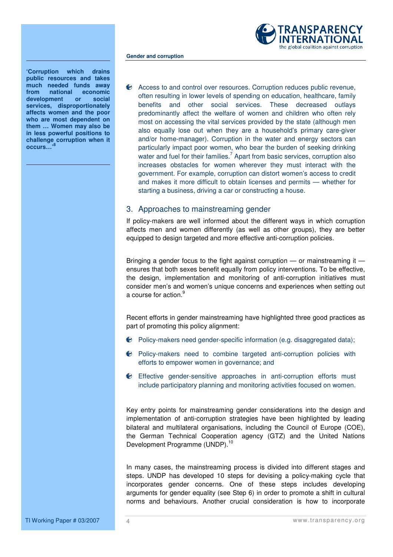

**'Corruption which drains public resources and takes much needed funds away from national economic development or social services, disproportionately affects women and the poor who are most dependent on them … Women may also be in less powerful positions to challenge corruption when it occurs…'<sup>8</sup>**

**Gender and corruption** 

Access to and control over resources. Corruption reduces public revenue, often resulting in lower levels of spending on education, healthcare, family benefits and other social services. These decreased outlays predominantly affect the welfare of women and children who often rely most on accessing the vital services provided by the state (although men also equally lose out when they are a household's primary care-giver and/or home-manager). Corruption in the water and energy sectors can particularly impact poor women, who bear the burden of seeking drinking water and fuel for their families.<sup>7</sup> Apart from basic services, corruption also increases obstacles for women wherever they must interact with the government. For example, corruption can distort women's access to credit and makes it more difficult to obtain licenses and permits — whether for starting a business, driving a car or constructing a house.

## 3. Approaches to mainstreaming gender

If policy-makers are well informed about the different ways in which corruption affects men and women differently (as well as other groups), they are better equipped to design targeted and more effective anti-corruption policies.

Bringing a gender focus to the fight against corruption — or mainstreaming it ensures that both sexes benefit equally from policy interventions. To be effective, the design, implementation and monitoring of anti-corruption initiatives must consider men's and women's unique concerns and experiences when setting out a course for action.<sup>9</sup>

Recent efforts in gender mainstreaming have highlighted three good practices as part of promoting this policy alignment:

- $\bullet$  Policy-makers need gender-specific information (e.g. disaggregated data);
- Policy-makers need to combine targeted anti-corruption policies with efforts to empower women in governance; and
- Effective gender-sensitive approaches in anti-corruption efforts must include participatory planning and monitoring activities focused on women.

Key entry points for mainstreaming gender considerations into the design and implementation of anti-corruption strategies have been highlighted by leading bilateral and multilateral organisations, including the Council of Europe (COE), the German Technical Cooperation agency (GTZ) and the United Nations Development Programme (UNDP).<sup>10</sup>

In many cases, the mainstreaming process is divided into different stages and steps. UNDP has developed 10 steps for devising a policy-making cycle that incorporates gender concerns. One of these steps includes developing arguments for gender equality (see Step 6) in order to promote a shift in cultural norms and behaviours. Another crucial consideration is how to incorporate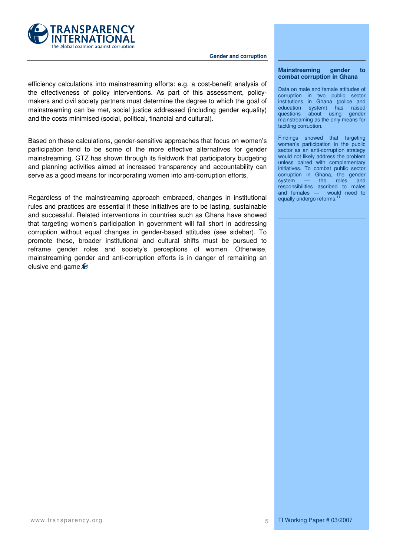

 **Gender and corruption** 

efficiency calculations into mainstreaming efforts: e.g. a cost-benefit analysis of the effectiveness of policy interventions. As part of this assessment, policymakers and civil society partners must determine the degree to which the goal of mainstreaming can be met, social justice addressed (including gender equality) and the costs minimised (social, political, financial and cultural).

Based on these calculations, gender-sensitive approaches that focus on women's participation tend to be some of the more effective alternatives for gender mainstreaming. GTZ has shown through its fieldwork that participatory budgeting and planning activities aimed at increased transparency and accountability can serve as a good means for incorporating women into anti-corruption efforts.

Regardless of the mainstreaming approach embraced, changes in institutional rules and practices are essential if these initiatives are to be lasting, sustainable and successful. Related interventions in countries such as Ghana have showed that targeting women's participation in government will fall short in addressing corruption without equal changes in gender-based attitudes (see sidebar). To promote these, broader institutional and cultural shifts must be pursued to reframe gender roles and society's perceptions of women. Otherwise, mainstreaming gender and anti-corruption efforts is in danger of remaining an elusive end-game.

### **Mainstreaming gender to combat corruption in Ghana**

Data on male and female attitudes of corruption in two public sector institutions in Ghana (police and education system) has raised<br>questions about using gender about using gender mainstreaming as the only means for tackling corruption.

Findings showed that targeting women's participation in the public sector as an anti-corruption strategy would not likely address the problem unless paired with complementary initiatives. To combat public sector corruption in Ghana, the gender system — the roles and responsibilities ascribed to males and females — would need to equally undergo reforms.<sup>11</sup>